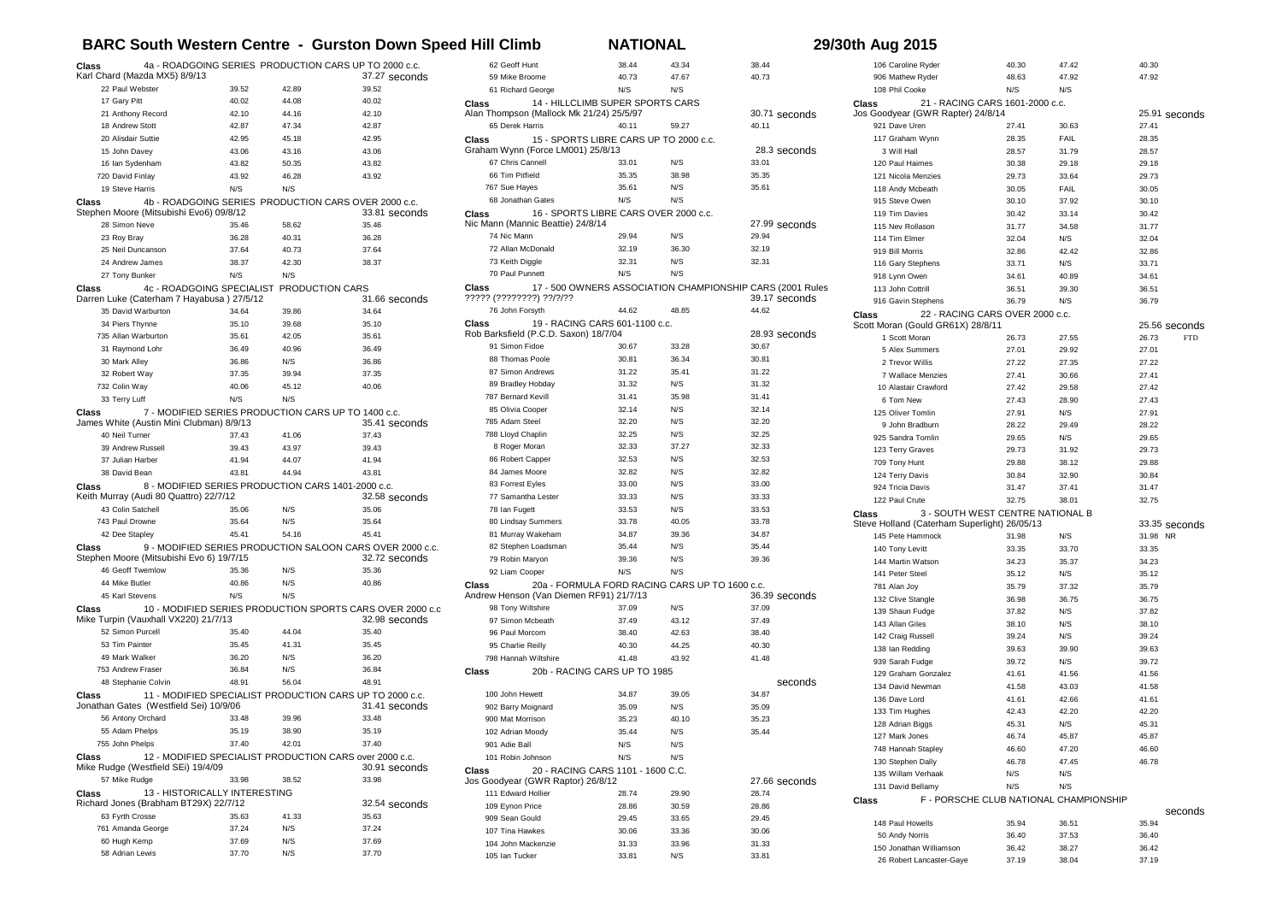## **BARC South Western Centre - Gurston Down Speed Hill Climb NATIONAL 29/30th Aug 2015**

| 4a - ROADGOING SERIES PRODUCTION CARS UP TO 2000 c.c.<br>Class |                                                    |                | 62 Geoff Hunt                                             | 38.44                                          | 43.34                                          | 38.44 | 106 Caroline Ryder                                        | 40.30                                        | 47.42          | 40.30                                  |                     |
|----------------------------------------------------------------|----------------------------------------------------|----------------|-----------------------------------------------------------|------------------------------------------------|------------------------------------------------|-------|-----------------------------------------------------------|----------------------------------------------|----------------|----------------------------------------|---------------------|
| Karl Chard (Mazda MX5) 8/9/13                                  |                                                    |                | 37.27 seconds                                             | 59 Mike Broome                                 | 40.73                                          | 47.67 | 40.73                                                     | 906 Mathew Ryder                             | 48.63          | 47.92                                  | 47.92               |
| 22 Paul Webster                                                | 39.52                                              | 42.89          | 39.52                                                     | 61 Richard George                              | N/S                                            | N/S   |                                                           | 108 Phil Cooke                               | N/S            | N/S                                    |                     |
| 17 Gary Pitt                                                   | 40.02                                              | 44.08          | 40.02                                                     | Class                                          | 14 - HILLCLIMB SUPER SPORTS CARS               |       |                                                           | Class<br>21 - RACING CARS 1601-2000 c.c.     |                |                                        |                     |
| 21 Anthony Record                                              | 42.10                                              | 44.16          | 42.10                                                     | Alan Thompson (Mallock Mk 21/24) 25/5/97       |                                                |       | 30.71 seconds                                             | Jos Goodyear (GWR Rapter) 24/8/14            |                |                                        | 25.91 seconds       |
| 18 Andrew Stott                                                | 42.87                                              | 47.34          | 42.87                                                     | 65 Derek Harris                                | 40.11                                          | 59.27 | 40.11                                                     | 921 Dave Uren                                | 27.41          | 30.63                                  | 27.41               |
| 20 Alisdair Suttie                                             | 42.95                                              | 45.18          | 42.95                                                     | <b>Class</b>                                   | 15 - SPORTS LIBRE CARS UP TO 2000 c.c.         |       |                                                           | 117 Graham Wynn                              | 28.35          | <b>FAIL</b>                            | 28.35               |
| 15 John Davey                                                  | 43.06                                              | 43.16          | 43.06                                                     | Graham Wynn (Force LM001) 25/8/13              |                                                |       | 28.3 seconds                                              | 3 Will Hall                                  | 28.57          | 31.79                                  | 28.57               |
| 16 Ian Sydenham                                                | 43.82                                              | 50.35          | 43.82                                                     | 67 Chris Cannell                               | 33.01                                          | N/S   | 33.01                                                     | 120 Paul Haimes                              | 30.38          | 29.18                                  | 29.18               |
| 720 David Finlay                                               | 43.92                                              | 46.28          | 43.92                                                     | 66 Tim Pitfield                                | 35.35                                          | 38.98 | 35.35                                                     | 121 Nicola Menzies                           | 29.73          | 33.64                                  | 29.73               |
| 19 Steve Harris                                                | N/S                                                | N/S            |                                                           | 767 Sue Hayes                                  | 35.61                                          | N/S   | 35.61                                                     | 118 Andy Mcbeath                             | 30.05          | FAIL                                   | 30.05               |
| Class                                                          |                                                    |                | 4b - ROADGOING SERIES PRODUCTION CARS OVER 2000 c.c.      | 68 Jonathan Gates                              | N/S                                            | N/S   |                                                           | 915 Steve Owen                               | 30.10          | 37.92                                  | 30.10               |
| Stephen Moore (Mitsubishi Evo6) 09/8/12                        |                                                    |                | 33.81 seconds                                             | Class                                          | 16 - SPORTS LIBRE CARS OVER 2000 c.c.          |       |                                                           | 119 Tim Davies                               | 30.42          | 33.14                                  | 30.42               |
| 28 Simon Neve                                                  | 35.46                                              | 58.62          | 35.46                                                     | Nic Mann (Mannic Beattie) 24/8/14              |                                                |       | 27.99 seconds                                             | 115 Nev Rollason                             | 31.77          | 34.58                                  | 31.77               |
| 23 Roy Bray                                                    | 36.28                                              | 40.31          | 36.28                                                     | 74 Nic Mann                                    | 29.94                                          | N/S   | 29.94                                                     | 114 Tim Elmer                                | 32.04          | N/S                                    | 32.04               |
| 25 Neil Duncanson                                              | 37.64                                              | 40.73          | 37.64                                                     | 72 Allan McDonald                              | 32.19                                          | 36.30 | 32.19                                                     | 919 Bill Morris                              | 32.86          | 42.42                                  | 32.86               |
| 24 Andrew James                                                | 38.37                                              | 42.30          | 38.37                                                     | 73 Keith Diggle                                | 32.31                                          | N/S   | 32.31                                                     | 116 Gary Stephens                            | 33.71          | N/S                                    | 33.71               |
| 27 Tony Bunker                                                 | N/S                                                | N/S            |                                                           | 70 Paul Punnett                                | N/S                                            | N/S   |                                                           | 918 Lynn Owen                                | 34.61          | 40.89                                  | 34.61               |
| Class                                                          | 4c - ROADGOING SPECIALIST PRODUCTION CARS          |                |                                                           | Class                                          |                                                |       | 17 - 500 OWNERS ASSOCIATION CHAMPIONSHIP CARS (2001 Rules | 113 John Cottril                             | 36.51          | 39.30                                  | 36.51               |
| Darren Luke (Caterham 7 Hayabusa) 27/5/12                      |                                                    |                | 31.66 seconds                                             | ????? (????????) ??/?/??<br>76 John Forsyth    | 44.62                                          | 48.85 | 39.17 seconds<br>44.62                                    | 916 Gavin Stephens                           | 36.79          | N/S                                    | 36.79               |
| 35 David Warburton                                             | 34.64                                              | 39.86          | 34.64                                                     |                                                |                                                |       |                                                           | 22 - RACING CARS OVER 2000 c.c.<br>Class     |                |                                        |                     |
| 34 Piers Thynne                                                | 35.10                                              | 39.68          | 35.10                                                     | Class<br>Rob Barksfield (P.C.D. Saxon) 18/7/04 | 19 - RACING CARS 601-1100 c.c.                 |       | 28.93 seconds                                             | Scott Moran (Gould GR61X) 28/8/11            |                |                                        | 25.56 seconds       |
| 735 Allan Warburton                                            | 35.61                                              | 42.05          | 35.61                                                     | 91 Simon Fidoe                                 | 30.67                                          | 33.28 | 30.67                                                     | 1 Scott Moran                                | 26.73          | 27.55                                  | 26.73<br><b>FTD</b> |
| 31 Raymond Lohr                                                | 36.49                                              | 40.96          | 36.49                                                     | 88 Thomas Poole                                | 30.81                                          | 36.34 | 30.81                                                     | 5 Alex Summers                               | 27.01          | 29.92                                  | 27.01               |
| 30 Mark Allev                                                  | 36.86                                              | N/S            | 36.86                                                     | 87 Simon Andrews                               | 31.22                                          | 35.41 | 31.22                                                     | 2 Trevor Willis                              | 27.22          | 27.35                                  | 27.22               |
| 32 Robert Way                                                  | 37.35                                              | 39.94          | 37.35                                                     | 89 Bradley Hobday                              | 31.32                                          | N/S   | 31.32                                                     | 7 Wallace Menzies                            | 27.41          | 30.66                                  | 27.41               |
| 732 Colin Way                                                  | 40.06                                              | 45.12          | 40.06                                                     |                                                | 31.41                                          | 35.98 | 31.41                                                     | 10 Alastair Crawford                         | 27.42          | 29.58                                  | 27.42               |
| 33 Terry Luff                                                  | N/S                                                | N/S            |                                                           | 787 Bernard Kevill<br>85 Olivia Cooper         | 32.14                                          | N/S   | 32.14                                                     | 6 Tom New                                    | 27.43          | 28.90                                  | 27.43               |
| Class                                                          |                                                    |                | 7 - MODIFIED SERIES PRODUCTION CARS UP TO 1400 c.c.       | 785 Adam Steel                                 | 32.20                                          | N/S   | 32.20                                                     | 125 Oliver Tomlin                            | 27.91          | N/S                                    | 27.91               |
| James White (Austin Mini Clubman) 8/9/13<br>40 Neil Turner     |                                                    |                | 35.41 seconds<br>37.43                                    | 788 Lloyd Chaplin                              | 32.25                                          | N/S   | 32.25                                                     | 9 John Bradburn                              | 28.22          | 29.49                                  | 28.22               |
| 39 Andrew Russell                                              | 37.43<br>39.43                                     | 41.06<br>43.97 | 39.43                                                     | 8 Roger Moran                                  | 32.33                                          | 37.27 | 32.33                                                     | 925 Sandra Tomlin                            | 29.65          | N/S                                    | 29.65               |
| 37 Julian Harber                                               | 41.94                                              | 44.07          | 41.94                                                     | 86 Robert Capper                               | 32.53                                          | N/S   | 32.53                                                     | 123 Terry Graves                             | 29.73          | 31.92                                  | 29.73               |
| 38 David Bean                                                  | 43.81                                              | 44.94          | 43.81                                                     | 84 James Moore                                 | 32.82                                          | N/S   | 32.82                                                     | 709 Tony Hunt                                | 29.88          | 38.12                                  | 29.88               |
|                                                                |                                                    |                |                                                           | 83 Forrest Evles                               | 33.00                                          | N/S   | 33.00                                                     | 124 Terry Davis                              | 30.84          | 32.90                                  | 30.84               |
| Class<br>Keith Murray (Audi 80 Quattro) 22/7/12                | 8 - MODIFIED SERIES PRODUCTION CARS 1401-2000 c.c. |                | 32.58 seconds                                             | 77 Samantha Lester                             | 33.33                                          | N/S   | 33.33                                                     | 924 Tricia Davis                             | 31.47          | 37.41                                  | 31.47               |
| 43 Colin Satchell                                              | 35.06                                              | N/S            | 35.06                                                     | 78 Ian Fugett                                  | 33.53                                          | N/S   | 33.53                                                     | 122 Paul Crute                               | 32.75          | 38.01                                  | 32.75               |
| 743 Paul Drowne                                                | 35.64                                              | N/S            | 35.64                                                     | 80 Lindsay Summers                             | 33.78                                          | 40.05 | 33.78                                                     | 3 - SOUTH WEST CENTRE NATIONAL B<br>Class    |                |                                        |                     |
| 42 Dee Stapley                                                 | 45.41                                              | 54.16          | 45.41                                                     | 81 Murray Wakeham                              | 34.87                                          | 39.36 | 34.87                                                     | Steve Holland (Caterham Superlight) 26/05/13 |                |                                        | 33.35 seconds       |
| Class                                                          |                                                    |                | 9 - MODIFIED SERIES PRODUCTION SALOON CARS OVER 2000 c.c. | 82 Stephen Loadsman                            | 35.44                                          | N/S   | 35.44                                                     | 145 Pete Hammock                             | 31.98          | N/S                                    | 31.98 NR            |
| Stephen Moore (Mitsubishi Evo 6) 19/7/15                       |                                                    |                | 32.72 seconds                                             | 79 Robin Maryon                                | 39.36                                          | N/S   | 39.36                                                     | 140 Tony Levitt                              | 33.35          | 33.70                                  | 33.35               |
| 46 Geoff Twemlow                                               | 35.36                                              | N/S            | 35.36                                                     | 92 Liam Cooper                                 | N/S                                            | N/S   |                                                           | 144 Martin Watson<br>141 Peter Steel         | 34.23<br>35.12 | 35.37<br>N/S                           | 34.23<br>35.12      |
| 44 Mike Butler                                                 | 40.86                                              | N/S            | 40.86                                                     | Class                                          | 20a - FORMULA FORD RACING CARS UP TO 1600 c.c. |       |                                                           |                                              |                | 37.32                                  | 35.79               |
| 45 Karl Stevens                                                | N/S                                                | N/S            |                                                           | Andrew Henson (Van Diemen RF91) 21/7/13        |                                                |       | 36.39 seconds                                             | 781 Alan Joy                                 | 35.79          |                                        |                     |
| Class                                                          |                                                    |                | 10 - MODIFIED SERIES PRODUCTION SPORTS CARS OVER 2000 c.c | 98 Tony Wiltshire                              | 37.09                                          | N/S   | 37.09                                                     | 132 Clive Stangle                            | 36.98          | 36.75                                  | 36.75               |
| Mike Turpin (Vauxhall VX220) 21/7/13                           |                                                    |                | 32.98 seconds                                             | 97 Simon Mcbeath                               | 37.49                                          | 43.12 | 37.49                                                     | 139 Shaun Fudge                              | 37.82          | N/S                                    | 37.82               |
| 52 Simon Purcell                                               | 35.40                                              | 44.04          | 35.40                                                     | 96 Paul Morcom                                 | 38.40                                          | 42.63 | 38.40                                                     | 143 Allan Giles                              | 38.10          | N/S                                    | 38.10               |
| 53 Tim Painter                                                 | 35.45                                              | 41.31          | 35.45                                                     | 95 Charlie Reilly                              | 40.30                                          | 44.25 | 40.30                                                     | 142 Craig Russell                            | 39.24          | N/S                                    | 39.24               |
| 49 Mark Walker                                                 | 36.20                                              | N/S            | 36.20                                                     | 798 Hannah Wiltshire                           | 41.48                                          | 43.92 | 41.48                                                     | 138 Ian Redding                              | 39.63          | 39.90                                  | 39.63               |
| 753 Andrew Fraser                                              | 36.84                                              | N/S            | 36.84                                                     | Class                                          | 20b - RACING CARS UP TO 1985                   |       |                                                           | 939 Sarah Fudge                              | 39.72          | N/S                                    | 39.72               |
| 48 Stephanie Colvin                                            | 48.91                                              | 56.04          | 48.91                                                     |                                                |                                                |       | seconds                                                   | 129 Graham Gonzalez                          | 41.61          | 41.56                                  | 41.56               |
| Class                                                          |                                                    |                | 11 - MODIFIED SPECIALIST PRODUCTION CARS UP TO 2000 c.c.  | 100 John Hewett                                | 34.87                                          | 39.05 | 34.87                                                     | 134 David Newman                             | 41.58          | 43.03                                  | 41.58               |
| Jonathan Gates (Westfield Sei) 10/9/06                         |                                                    |                | 31.41 seconds                                             | 902 Barry Moignard                             | 35.09                                          | N/S   | 35.09                                                     | 136 Dave Lord                                | 41.61          | 42.66                                  | 41.61               |
| 56 Antony Orchard                                              | 33.48                                              | 39.96          | 33.48                                                     | 900 Mat Morrison                               | 35.23                                          | 40.10 | 35.23                                                     | 133 Tim Hughes                               | 42.43          | 42.20                                  | 42.20               |
| 55 Adam Phelps                                                 | 35.19                                              | 38.90          | 35.19                                                     | 102 Adrian Moody                               | 35.44                                          | N/S   | 35.44                                                     | 128 Adrian Biggs                             | 45.31          | N/S                                    | 45.31               |
| 755 John Phelps                                                | 37.40                                              | 42.01          |                                                           | 901 Adie Ball                                  | N/S                                            | N/S   |                                                           | 127 Mark Jones                               | 46.74          | 45.87                                  | 45.87               |
| Class                                                          |                                                    |                | 12 - MODIFIED SPECIALIST PRODUCTION CARS over 2000 c.c.   | 101 Robin Johnson                              | N/S                                            | N/S   |                                                           | 748 Hannah Stapley                           | 46.60          | 47.20                                  | 46.60               |
| Mike Rudge (Westfield SEi) 19/4/09                             |                                                    |                | 30.91 seconds                                             |                                                | 20 - RACING CARS 1101 - 1600 C.C.              |       |                                                           | 130 Stephen Dally                            | 46.78          | 47.45                                  | 46.78               |
| 57 Mike Rudge                                                  | 33.98                                              | 38.52          | 33.98                                                     | Class<br>Jos Goodyear (GWR Raptor) 26/8/12     |                                                |       | 27.66 seconds                                             | 135 Willam Verhaak                           | N/S            | N/S                                    |                     |
| Class                                                          | 13 - HISTORICALLY INTERESTING                      |                |                                                           | 111 Edward Hollier                             | 28.74                                          | 29.90 | 28.74                                                     | 131 David Bellamy                            | N/S            | N/S                                    |                     |
| Richard Jones (Brabham BT29X) 22/7/12                          |                                                    |                | 32.54 seconds                                             | 109 Eynon Price                                | 28.86                                          | 30.59 | 28.86                                                     | Class                                        |                | F - PORSCHE CLUB NATIONAL CHAMPIONSHIP |                     |
| 63 Fyrth Crosse                                                | 35.63                                              | 41.33          | 35.63                                                     | 909 Sean Gould                                 | 29.45                                          | 33.65 | 29.45                                                     |                                              |                |                                        | seconds             |
| 761 Amanda George                                              | 37.24                                              | N/S            | 37.24                                                     | 107 Tina Hawkes                                | 30.06                                          | 33.36 | 30.06                                                     | 148 Paul Howells                             | 35.94          | 36.51                                  | 35.94               |
| 60 Hugh Kemp                                                   | 37.69                                              | N/S            | 37.69                                                     | 104 John Mackenzie                             | 31.33                                          | 33.96 |                                                           | 50 Andy Norris                               | 36.40          | 37.53                                  | 36.40               |
| 58 Adrian Lewis                                                | 37.70                                              | N/S            | 37.70                                                     |                                                |                                                |       | 31.33                                                     | 150 Jonathan Williamson                      | 36.42          | 38.27                                  | 36.42               |
|                                                                |                                                    |                |                                                           | 105 Ian Tucker                                 | 33.81                                          | N/S   | 33.81                                                     | 26 Robert Lancaster-Gaye                     | 37.19          | 38.04                                  | 37.19               |